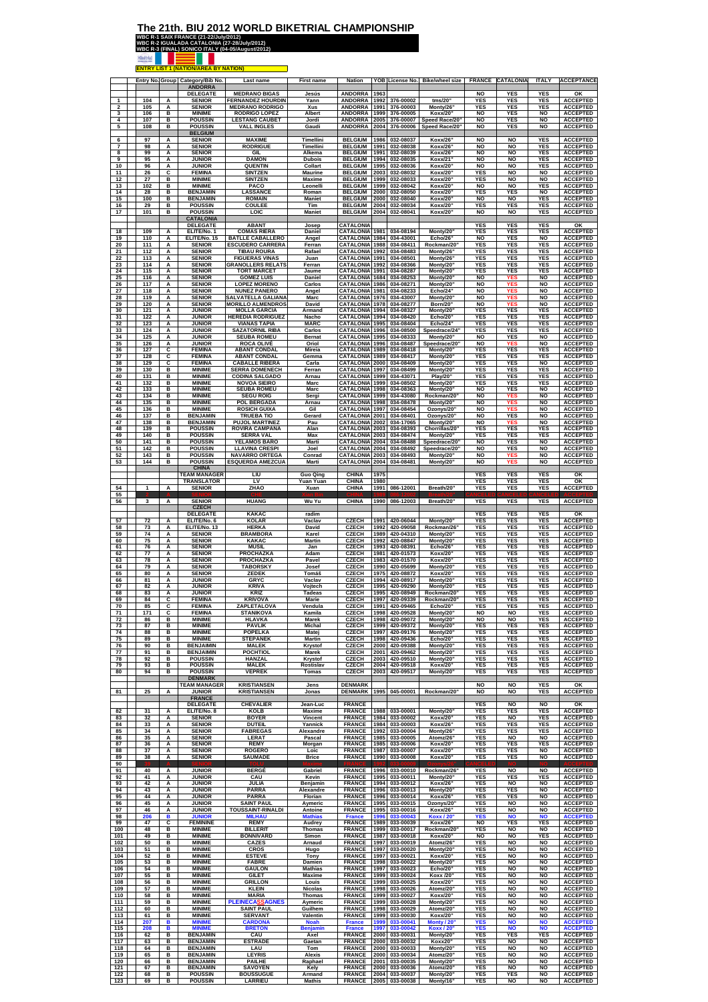## **The 21th. BIU 2012 WORLD BIKETRIAL CHAMPIONSHIP**

 $\overline{\phantom{a}}$ 

| <b>WBC R-1 SAIX FRANCE (21-22/July/2012)</b> |                                                  |  |
|----------------------------------------------|--------------------------------------------------|--|
|                                              | WBC R-2 IGUALADA CATALONIA (27-28/July/2012)     |  |
|                                              | WBC R-3 (FINAL) SONICO ITALY (04-05/August/2012) |  |
|                                              |                                                  |  |
|                                              | <b>ENTRY LIST 1 (NATION/AREA BY NATION)</b>      |  |

|                | Entry No. Group   |             | Category/Bib No.<br>ANDORRA                        | Last name                                                             | <b>First name</b>                        | <b>Nation</b>                                   |                      | YOB License No.                     | <b>Bike/wheel size</b>               |                                     | FRANCE CATALONIA                | <b>ITALY</b>                           | <b>ACCEPTANCE</b>                                     |
|----------------|-------------------|-------------|----------------------------------------------------|-----------------------------------------------------------------------|------------------------------------------|-------------------------------------------------|----------------------|-------------------------------------|--------------------------------------|-------------------------------------|---------------------------------|----------------------------------------|-------------------------------------------------------|
|                | 104               | А           | DELEGATE<br><b>SENIOR</b>                          | <b>MEDRANO BIGAS</b><br><b>FERNANDEZ HOURDIN</b>                      | Jesús<br>Yann                            | <b>ANDORRA</b><br><b>ANDORRA</b>                | 1963<br>1992         | 376-00002                           | tms/20"                              | NO<br><b>YES</b>                    | YES<br><b>YES</b>               | <b>YES</b><br><b>YES</b>               | ОΚ<br><b>ACCEPTED</b>                                 |
| $\overline{2}$ | 105               | Α           | <b>SENIOR</b>                                      | <b>MEDRANO RODRIGO</b>                                                | Xus                                      | ANDORRA                                         | 1991                 | 376-00003                           | Monty/26                             | <b>YES</b>                          | <b>YES</b>                      | <b>YES</b>                             | <b>ACCEPTED</b>                                       |
| 3              | 106               | B           | <b>MINIME</b>                                      | <b>RODRIGO LOPEZ</b>                                                  | Albert                                   | <b>ANDORRA</b>                                  | 1999                 | 376-00005                           | Koxx/20'                             | <b>NO</b>                           | <b>YES</b>                      | <b>NO</b>                              | <b>ACCEPTED</b>                                       |
| 4<br>5         | 107<br>108        | в<br>в      | <b>POUSSIN</b><br><b>POUSSIN</b><br><b>BELGIUM</b> | <b>LESTANG CAUBET</b><br><b>VALL INGLES</b>                           | Jordi<br>Gaudi                           | <b>ANDORRA</b><br>ANDORRA 2004                  | 2005                 | 376-00007<br>376-00006              | Speed Race/20'<br>Speed Race/20"     | <b>NO</b><br><b>NO</b>              | YES<br>YES                      | <b>NO</b><br><b>NO</b>                 | <b>ACCEPTED</b><br><b>ACCEPTED</b>                    |
| 6              | 97                | А           | <b>SENIOR</b>                                      | <b>MAXIME</b>                                                         | Timellini                                | <b>BELGIUM</b>                                  | 1986                 | 032-08037                           | Koxx/26                              | <b>NO</b>                           | <b>NO</b>                       | <b>YES</b>                             | <b>ACCEPTED</b>                                       |
| 7              | 98                | A           | <b>SENIOR</b>                                      | <b>RODRIGUE</b>                                                       | Timellini                                | <b>BELGIUM</b>                                  | 1991                 | 032-08038                           | Koxx/26'                             | <b>NO</b>                           | <b>NO</b>                       | <b>YES</b>                             | <b>ACCEPTED</b>                                       |
| 8              | 99                | Α           | <b>SENIOR</b>                                      | GIL                                                                   | Alkema                                   | <b>BELGIUM</b>                                  | 1991                 | 032-08039                           | Koxx/26                              | <b>NO</b>                           | <b>NO</b>                       | <b>YES</b>                             | <b>ACCEPTED</b>                                       |
| 9              | 95                | А           | <b>JUNIOR</b>                                      | <b>DAMON</b>                                                          | <b>Dubois</b>                            | <b>BELGIUM</b>                                  | 1994                 | 032-08035                           | <b>Koxx/21</b>                       | <b>NO</b>                           | <b>NO</b>                       | <b>YES</b>                             | <b>ACCEPTED</b>                                       |
| 10             | 96                | Α           | <b>JUNIOR</b>                                      | QUENTIN                                                               | Collart                                  | <b>BELGIUM</b>                                  | 1995                 | 032-08036                           | Koxx/20'                             | <b>NO</b>                           | <b>NO</b>                       | <b>YES</b>                             | <b>ACCEPTED</b>                                       |
| 11             | 26                | c           | <b>FEMINA</b>                                      | <b>SINTZEN</b>                                                        | Maurine                                  | <b>BELGIUM</b>                                  | 2003                 | 032-08032                           | Koxx/20'                             | YES                                 | <b>NO</b>                       | <b>NO</b>                              | <b>ACCEPTED</b>                                       |
| 12             | 27                | в           | <b>MINIME</b>                                      | <b>SINTZEN</b>                                                        | <b>Maxime</b>                            | <b>BELGIUM</b>                                  | 1999                 | 032-08033                           | Koxx/20                              | <b>YES</b>                          | <b>NO</b>                       | <b>NO</b>                              | <b>ACCEPTED</b>                                       |
| 13             | 102               | в           | <b>MINIME</b>                                      | <b>PACO</b>                                                           | Leonelli                                 | <b>BELGIUM</b>                                  | 1999                 | 032-08042                           | Koxx/20'                             | <b>NO</b>                           | <b>NO</b>                       | <b>YES</b>                             | <b>ACCEPTED</b>                                       |
| 14             | 28                | в           | <b>BENJAMIN</b>                                    | <b>LASSANCE</b>                                                       | Roman                                    | <b>BELGIUM</b>                                  | 2000                 | 032-08050                           | Koxx/20'                             | <b>YES</b>                          | YES                             | NO                                     | <b>ACCEPTED</b>                                       |
| 15             | 100               | в           | <b>BENJAMIN</b>                                    | <b>ROMAIN</b>                                                         | <b>Maniet</b>                            | <b>BELGIUM</b>                                  | 2000                 | 032-08040                           | <b>Koxx/20</b>                       | <b>NO</b>                           | <b>NO</b>                       | <b>YES</b>                             | <b>ACCEPTED</b>                                       |
| 16             | 29                | в           | <b>POUSSIN</b>                                     | <b>COULEE</b>                                                         | Tim                                      | <b>BELGIUM</b>                                  | 2004                 | 032-08034                           | Koxx/20'                             | <b>YES</b>                          | YES                             | <b>YES</b>                             | <b>ACCEPTED</b>                                       |
| 17             | 101               | в           | <b>POUSSIN</b>                                     | LOIC                                                                  | <b>Maniet</b>                            | <b>BELGIUM</b>                                  | 2004                 | 032-08041                           | Koxx/20'                             | <b>NO</b>                           | <b>NO</b>                       | <b>YES</b>                             | <b>ACCEPTED</b>                                       |
| 18             | 109               | Α           | <b>CATALONIA</b><br><b>DELEGATE</b><br>ELITE/No. 1 | <b>ABANT</b><br><b>COMAS RIERA</b>                                    | Josep<br>Daniel                          | <b>CATALONIA</b><br>CATALONIA                   | 1981                 | 034-08194                           | Monty/20                             | <b>YES</b><br><b>YES</b>            | <b>YES</b><br><b>YES</b>        | <b>YES</b><br><b>YES</b>               | OK<br><b>ACCEPTED</b>                                 |
| 19             | 110               | А           | ELITE/No. 15                                       | <b>BATLLE CABALLERO</b>                                               | Angel                                    | CATALONIA                                       | 1984                 | 034-43001                           | Echo/26                              | <b>NO</b>                           | YES                             | <b>NO</b>                              | <b>ACCEPTED</b>                                       |
| 20             | 111               | Α           | <b>SENIOR</b>                                      | <b>ESCUDERO CARRERA</b>                                               | Ferran                                   | CATALONIA                                       | 1988                 | 034-08411                           | Rockman/20                           | YES                                 | YES                             | <b>YES</b>                             | <b>ACCEPTED</b>                                       |
| 21             | 112               | Α           | <b>SENIOR</b>                                      | <b>TIBAU ROURA</b>                                                    | Rafael                                   | CATALONIA                                       | 1992                 | 034-08483                           | Monty/26'                            | YES                                 | <b>YES</b>                      | YES                                    | <b>ACCEPTED</b>                                       |
| 22             | 113               | A           | <b>SENIOR</b>                                      | <b>FIGUERAS VINAS</b>                                                 | Juan                                     | CATALONIA                                       | 1991                 | 034-08501                           | Monty/26'                            | <b>YES</b>                          | YES                             | <b>YES</b>                             | <b>ACCEPTED</b>                                       |
| 23             | 114               | A           | <b>SENIOR</b>                                      | <b>GRANOLLERS RELATS</b>                                              | Ferran                                   | CATALONIA                                       | 1992                 | 034-08366                           | Monty/20"                            | <b>YES</b>                          | <b>YES</b>                      | <b>YES</b>                             | <b>ACCEPTED</b>                                       |
| 24             | 115               | Α           | <b>SENIOR</b>                                      | <b>TORT MARCET</b>                                                    | Jaume                                    | CATALONIA 1991                                  |                      | 034-08287                           | Monty/20'                            | YES                                 | YES                             | <b>YES</b>                             | <b>ACCEPTED</b>                                       |
| 25<br>26       | 116<br>117        | Α<br>A      | <b>SENIOR</b><br><b>SENIOR</b>                     | <b>GOMEZ LUIS</b><br><b>LOPEZ MORENO</b>                              | Daniel<br>Carlos                         | CATALONIA<br>CATALONIA                          | 1684<br>1986         | 034-08253<br>034-08271              | Monty/20<br>Monty/20'                | <b>NO</b><br><b>NO</b>              | <b>YES</b><br>YES<br>YE         | <b>NO</b><br><b>NO</b>                 | <b>ACCEPTED</b><br><b>ACCEPTED</b>                    |
| 27<br>28<br>29 | 118<br>119<br>120 | Α<br>Α<br>A | <b>SENIOR</b><br><b>SENIOR</b><br><b>SENIOR</b>    | <b>NUNEZ PANERO</b><br>SALVATELLA GALIANA<br><b>MORILLO ALMENDROS</b> | Angel<br>Marc<br>David                   | <b>CATALONIA</b><br>CATALONIA<br>CATALONIA      | 1981<br>1976<br>1978 | 034-08233<br>034-43007<br>034-08277 | Echo/24"<br>Monty/20'<br>Born/20     | <b>NO</b><br><b>NO</b><br><b>NO</b> | YES<br>YES                      | <b>NO</b><br><b>NO</b><br><b>NO</b>    | <b>ACCEPTED</b><br><b>ACCEPTED</b><br><b>ACCEPTED</b> |
| 30             | 121               | A           | <b>JUNIOR</b>                                      | <b>MOLLA GARCIA</b>                                                   | Armand                                   | CATALONIA 1994                                  | 1994                 | 034-08327                           | Monty/20                             | <b>YES</b>                          | <b>YES</b>                      | <b>YES</b>                             | <b>ACCEPTED</b>                                       |
| 31             | 122               | Α           | <b>JUNIOR</b>                                      | <b>HEREDIA RODRIGUEZ</b>                                              | Nacho                                    | CATALONIA                                       |                      | 034-08420                           | Echo/20                              | <b>YES</b>                          | YES                             | <b>YES</b>                             | <b>ACCEPTED</b>                                       |
| 32             | 123               | A           | <b>JUNIOR</b>                                      | <b>VIANAS TAPIA</b>                                                   | <b>MARC</b>                              | CATALONIA                                       | 1995                 | 034-08404                           | Echo/24                              | <b>YES</b>                          | YES                             | <b>YES</b>                             | <b>ACCEPTED</b>                                       |
| 33             | 124               | A           | <b>JUNIOR</b>                                      | <b>SAZATORNIL RIBA</b>                                                | Carlos                                   | CATALONIA                                       | 1996                 | 034-08500                           | Speedrace/24                         | <b>YES</b>                          | YES                             | <b>YES</b>                             | <b>ACCEPTED</b>                                       |
| 34             | 125               | Α           | JUNIOR                                             | <b>SEUBA ROMEU</b>                                                    | <b>Bernat</b>                            | CATALONIA                                       | 1995                 | 034-08333                           | Monty/20                             | NO                                  | YES                             | NO                                     | <b>ACCEPTED</b>                                       |
| 35             | 126               | A           | <b>JUNIOR</b>                                      | <b>ROCA OLIVÉ</b>                                                     | Oriol                                    | CATALONIA                                       | 1996                 | 034-08487                           | Speedrace/20                         | <b>NO</b>                           | YE!                             | <b>NO</b>                              | <b>ACCEPTED</b>                                       |
| 36             | 127               | с           | <b>FEMINA</b>                                      | <b>ABANT CONDAL</b>                                                   | Mireia                                   | <b>CATALONIA</b> 1989                           |                      | 034-08418                           | Monty/20"                            | <b>YES</b>                          | <b>YES</b>                      | <b>YES</b>                             | <b>ACCEPTED</b>                                       |
| 37             | 128               | с           | <b>FEMINA</b>                                      | <b>ABANT CONDAL</b>                                                   | Gemma                                    | CATALONIA 1989                                  |                      | 034-08417                           | Monty/20'                            | <b>YES</b>                          | <b>YES</b>                      | <b>YES</b>                             | <b>ACCEPTED</b>                                       |
| 38             | 129               | c           | <b>FEMINA</b>                                      | <b>CABALLE RIBERA</b>                                                 | Carla                                    | <b>CATALONIA 2000</b>                           |                      | 034-08409                           | Monty/20"                            | <b>YES</b>                          | <b>YES</b>                      | <b>NO</b>                              | <b>ACCEPTED</b>                                       |
| 39             | 130               | B           | <b>MINIME</b>                                      | <b>SERRA DOMENECH</b>                                                 | Ferran                                   | CATALONIA                                       | 1997                 | 034-08499                           | Monty/20                             | <b>YES</b>                          | YES                             | <b>YES</b>                             | <b>ACCEPTED</b>                                       |
| 40             | 131               | в           | <b>MINIME</b>                                      | <b>CODINA SALGADO</b>                                                 | Arnau                                    | CATALONIA                                       | 1999                 | 034-43071                           | <b>Play/20"</b>                      | <b>YES</b>                          | <b>YES</b>                      | <b>YES</b>                             | <b>ACCEPTED</b>                                       |
| 41             | 132               | в           | <b>MINIME</b>                                      | <b>NOVOA SIEIRO</b>                                                   | Marc                                     | CATALONIA                                       | 1999                 | 034-08502                           | Monty/20                             | <b>YES</b>                          | <b>YES</b>                      | <b>YES</b>                             | <b>ACCEPTED</b>                                       |
| 42             | 133               | в           | <b>MINIME</b>                                      | <b>SEUBA ROMEU</b>                                                    | Marc                                     | CATALONIA 1998                                  |                      | 034-08363                           | Monty/20                             | <b>NO</b>                           | <b>YES</b>                      | <b>NO</b>                              | <b>ACCEPTED</b>                                       |
| 43             | 134               | в           | <b>MINIME</b>                                      | <b>SEGU ROIG</b>                                                      | Sergi                                    | <b>CATALONIA</b> 1999                           | 1998                 | 034-43080                           | Rockman/20                           | <b>NO</b>                           | <b>YES</b>                      | <b>NO</b>                              | <b>ACCEPTED</b>                                       |
| 44             | 135               | в           | <b>MINIME</b>                                      | <b>POL BERGADA</b>                                                    | Arnau                                    | CATALONIA                                       |                      | 034-08478                           | Monty/20                             | <b>NO</b>                           | <b>YES</b>                      | <b>NO</b>                              | <b>ACCEPTED</b>                                       |
| 45             | 136               | в           | <b>MINIME</b>                                      | <b>ROSICH GUIXA</b>                                                   | Gil                                      | <b>CATALONIA</b>                                | 1997                 | 034-08454                           | Ozonys/20                            | <b>NO</b>                           | YΕ                              | <b>NO</b>                              | <b>ACCEPTED</b>                                       |
| 46             | 137               | в           | <b>BENJAMIN</b>                                    | <b>TRUEBA TIO</b>                                                     | Gerard                                   | <b>CATALONIA</b>                                | 2001                 | 034-08401                           | Ozonys/20                            | <b>NO</b>                           | <b>YES</b>                      | NO                                     | <b>ACCEPTED</b>                                       |
| 47             | 138               | в           | <b>BENJAMIN</b>                                    | <b>PUJOL MARTINEZ</b>                                                 | Pau                                      | <b>CATALONIA</b>                                | 2002                 | 034-17065                           | Monty/20                             | <b>NO</b>                           | YES                             | <b>NO</b>                              | <b>ACCEPTED</b>                                       |
| 48             | 139               | в           | <b>POUSSIN</b>                                     | <b>ROVIRA CAMPANA</b>                                                 | Alan                                     | CATALONIA 2003                                  |                      | 034-08393                           | Chorrillas/20                        | <b>YES</b>                          | <b>YES</b>                      | <b>YES</b>                             | <b>ACCEPTED</b>                                       |
| 49             | 140               | в           | <b>POUSSIN</b>                                     | <b>SERRA VAL</b>                                                      | Max                                      | CATALONIA 2003                                  |                      | 034-08474                           | Monty/20'                            | <b>YES</b>                          | <b>YES</b>                      | <b>YES</b>                             | <b>ACCEPTED</b>                                       |
| 50             | 141               | в           | <b>POUSSIN</b>                                     | YELAMOS BARO                                                          | Marti                                    | CATALONIA                                       | 2004                 | 034-08488                           | Speedrace/20                         | <b>NO</b>                           | <b>YES</b>                      | <b>NO</b>                              | <b>ACCEPTED</b>                                       |
| 51             | 142               | в           | <b>POUSSIN</b>                                     | <b>LLAVINA CRESPI</b>                                                 | Joel                                     | CATALONIA                                       | 2004                 | 034-08492                           | Speedrace/20                         | <b>NO</b>                           | YES                             | <b>NO</b>                              | <b>ACCEPTED</b>                                       |
| 52             | 143               | в           | <b>POUSSIN</b>                                     | <b>NAVARRO ORTEGA</b>                                                 | Conrad                                   | CATALONIA                                       | 2003                 | 034-08493                           | Monty/20                             | <b>NO</b>                           | YΕ                              | <b>NO</b>                              | <b>ACCEPTED</b>                                       |
| 53             | 144               | в           | <b>POUSSIN</b>                                     | <b>ESQUERDA AMEZCUA</b>                                               | Marti                                    | <b>CATALONIA 2004</b>                           |                      | 034-08481                           | Monty/20                             | <b>NO</b>                           | <b>YES</b>                      | <b>NO</b>                              | <b>ACCEPTED</b>                                       |
|                |                   |             | <b>CHINA</b><br><b>TEAM MANAGER</b>                | LIU                                                                   | <b>Guo Qing</b>                          | <b>CHINA</b>                                    | 1975                 |                                     |                                      | <b>YES</b>                          | <b>YES</b>                      | <b>YES</b>                             | OK                                                    |
| 54             | 1                 | А           | <b>TRANSLATOR</b><br><b>SENIOR</b>                 | LV<br>ZHAO                                                            | Yuan Yuan<br>Xuan                        | <b>CHINA</b><br>CHINA                           | 1980<br>1991         | 086-12001                           | Breath/20                            | YES<br><b>YES</b>                   | YES<br>YES                      | <b>YES</b><br><b>YES</b>               | OK<br><b>ACCEPTED</b>                                 |
| 55<br>56       | 3                 | A           | <b>SENIOR</b><br><b>CZECH</b>                      | <b>HUANG</b>                                                          | Wu Yu                                    | <b>CHINA</b>                                    | 1990                 | 086-12003                           | Breath/20'                           | <b>YES</b>                          | <b>YES</b>                      | <b>YES</b>                             | <b>ACCEPTED</b>                                       |
| 57             | 72                | Α           | <b>DELEGATE</b><br>ELITE/No. 6                     | <b>KAKAC</b><br><b>KOLAR</b>                                          | radim<br>Vaclav                          | <b>CZECH</b>                                    | 1991                 | 420-06044                           | Monty/20'                            | <b>YES</b><br><b>YES</b>            | <b>YES</b><br><b>YES</b>        | <b>YES</b><br><b>YES</b>               | ОΚ<br><b>ACCEPTED</b>                                 |
| 58             | 73                | Α           | ELITE/No. 13                                       | <b>HERKA</b>                                                          | David                                    | <b>CZECH</b>                                    | 1992                 | 420-09058                           | Rockman/26                           | <b>YES</b>                          | <b>YES</b>                      | <b>YES</b>                             | <b>ACCEPTED</b>                                       |
| 59             | 74                | Α           | <b>SENIOR</b>                                      | <b>BRAMBORA</b>                                                       | Karel                                    | <b>CZECH</b>                                    | 1989                 | 420-04310                           | Monty/20                             | <b>YES</b>                          | <b>YES</b>                      | <b>YES</b>                             | <b>ACCEPTED</b>                                       |
| 60             | 75                | Α           | <b>SENIOR</b>                                      | KAKAC                                                                 | Martin                                   | <b>CZECH</b>                                    | 1992                 | 420-08847                           | Monty/20                             | YES                                 | <b>YES</b>                      | YES                                    | <b>ACCEPTED</b>                                       |
| 61             | 76                | A           | <b>SENIOR</b>                                      | <b>MUSIL</b>                                                          | Jan                                      | <b>CZECH</b>                                    | 1993                 | 420-08391                           | Echo/26                              | <b>YES</b>                          | YES                             | <b>YES</b>                             | <b>ACCEPTED</b>                                       |
| 62             | 77                | Α           | <b>SENIOR</b>                                      | PROCHAZKA                                                             | Adam                                     | <b>CZECH</b>                                    | 1981                 | 420-01573                           | Koxx/20"                             | <b>YES</b>                          | <b>YES</b>                      | <b>YES</b>                             | <b>ACCEPTED</b>                                       |
| 63             | 78                | Α           | <b>SENIOR</b>                                      | PROCHAZKA                                                             | Pavel                                    | <b>CZECH</b>                                    | 1983                 | 420-01570                           | Koxx/20'                             | <b>YES</b>                          | <b>YES</b>                      | <b>YES</b>                             | <b>ACCEPTED</b>                                       |
| 64             | 79                | Α           | <b>SENIOR</b>                                      | <b>TABORSKY</b>                                                       | Josef                                    | <b>CZECH</b>                                    | 1990                 | 420-05699                           | Monty/20                             | <b>YES</b>                          | <b>YES</b>                      | <b>YES</b>                             | <b>ACCEPTED</b>                                       |
| 65             | 80                | A           | <b>SENIOR</b>                                      | ZEDEK                                                                 | Tomáš                                    | <b>CZECH</b>                                    | 1975                 | 420-08872                           | <b>Koxx/20</b>                       | <b>YES</b>                          | YES                             | <b>YES</b>                             | <b>ACCEPTED</b>                                       |
| 66             | 81                | Α           | JUNIOR                                             | GRYC                                                                  | Vaclav                                   | <b>CZECH</b>                                    | 1994                 | 420-08917                           | Monty/20                             | YES                                 | YES                             | YES                                    | <b>ACCEPTED</b>                                       |
| 67             | 82                | Α           | <b>JUNIOR</b>                                      | <b>KRIVA</b>                                                          | Vojtech                                  | <b>CZECH</b>                                    | 1995                 | 420-09290                           | Monty/20                             | <b>YES</b>                          | <b>YES</b>                      | <b>YES</b>                             | <b>ACCEPTED</b>                                       |
| 68             | 83                | A           | <b>JUNIOR</b>                                      | <b>KRIZ</b>                                                           | Tadeas                                   | <b>CZECH</b>                                    | 1995                 | 420-08949                           | Rockman/20                           | <b>YES</b>                          | <b>YES</b>                      | <b>YES</b>                             | <b>ACCEPTED</b>                                       |
| 69             | 84                | с           | <b>FEMINA</b>                                      | <b>KRIVOVA</b>                                                        | Marie                                    | <b>CZECH</b>                                    | 1997                 | 420-09339                           | Rockman/20'                          | <b>YES</b>                          | <b>YES</b>                      | <b>YES</b>                             | <b>ACCEPTED</b>                                       |
| 70             | 85                | с           | <b>FEMINA</b>                                      | ZAPLETALOVA                                                           | Vendula                                  | <b>CZECH</b>                                    | 1991                 | 420-09465                           | <b>Echo/20"</b>                      | YES                                 | YES                             | <b>YES</b>                             | <b>ACCEPTED</b>                                       |
| 71             | 171               | c           | <b>FEMINA</b>                                      | <b>STANIKOVA</b>                                                      | Kamila                                   | <b>CZECH</b>                                    | 1998                 | 420-09528                           | Monty/20*                            | <b>NO</b>                           | <b>NO</b>                       | <b>YES</b>                             | <b>ACCEPTED</b>                                       |
| 72             | 86                | в           | <b>MINIME</b>                                      | <b>HLAVKA</b>                                                         | Marek                                    | <b>CZECH</b>                                    | 1998                 | 420-09072                           | Monty/20                             | <b>NO</b>                           | <b>NO</b>                       | <b>YES</b>                             | <b>ACCEPTED</b>                                       |
| 73<br>74       | 87<br>88          | в<br>в      | <b>MINIME</b><br><b>MINIME</b><br><b>MINIME</b>    | <b>PAVLIK</b><br><b>POPELKA</b>                                       | Michal<br>Matej                          | <b>CZECH</b><br><b>CZECH</b>                    | 1999<br>1997         | 420-09372<br>420-09176              | Monty/20"<br>Monty/20*<br>Echo/20"   | <b>YES</b><br><b>YES</b>            | <b>YES</b><br><b>YES</b>        | YES<br><b>YES</b>                      | <b>ACCEPTED</b><br><b>ACCEPTED</b>                    |
| 75<br>76<br>77 | 89<br>90<br>91    | в<br>в<br>в | <b>BENJAIMIN</b><br><b>BENJAIMIN</b>               | <b>STEPANEK</b><br><b>MALEK</b><br>POCHTIOL                           | <b>Martin</b><br>Krystof<br><b>Marek</b> | <b>CZECH</b><br><b>CZECH</b><br><b>CZECH</b>    | 1998<br>2000<br>2001 | 420-09436<br>420-09388<br>420-09462 | Monty/20"<br>Monty/20"               | <b>YES</b><br>YES<br><b>YES</b>     | <b>YES</b><br><b>YES</b><br>YES | <b>YES</b><br><b>YES</b><br><b>YES</b> | <b>ACCEPTED</b><br><b>ACCEPTED</b><br><b>ACCEPTED</b> |
| 78             | 92                | в           | <b>POUSSIN</b>                                     | HANZAL                                                                | Krystof                                  | <b>CZECH</b>                                    | 2003                 | 420-09510                           | Monty/20*                            | <b>YES</b>                          | <b>YES</b>                      | <b>YES</b>                             | <b>ACCEPTED</b>                                       |
| 79             | 93                | в           | <b>POUSSIN</b>                                     | <b>MALEK</b>                                                          | Rostislav                                | <b>CZECH</b>                                    | 2004                 | 420-09518                           | Koxx/20"                             | YES                                 | YES                             | <b>YES</b>                             | <b>ACCEPTED</b>                                       |
| 80             | 94                | в           | <b>POUSSIN</b><br><b>DENMARK</b>                   | <b>VEPREK</b>                                                         | Tomas                                    | <b>CZECH</b>                                    | 2003                 | 420-09517                           | Monty/20"                            | YES                                 | <b>YES</b>                      | <b>YES</b>                             | <b>ACCEPTED</b>                                       |
| 81             | 25                | А           | <b>TEAM MANAGER</b><br><b>JUNIOR</b>               | <b>KRISTIANSEN</b><br><b>KRISTIANSEN</b>                              | Jens<br>Jonas                            | <b>DENMARK</b><br><b>DENMARK</b>                | 1995                 | 045-00001                           | Rockman/20"                          | <b>NO</b><br><b>NO</b>              | <b>NO</b><br><b>NO</b>          | <b>YES</b><br><b>YES</b>               | OK<br><b>ACCEPTED</b>                                 |
| 82             | 31                | A           | <b>FRANCE</b><br><b>DELEGATE</b><br>ELITE/No. 8    | <b>CHEVALIER</b><br>KOLB                                              | Jean-Luc                                 | <b>FRANCE</b><br><b>FRANCE</b>                  | 1988                 | 033-00001                           |                                      | <b>YES</b><br><b>YES</b>            | <b>NO</b><br>YES                | <b>NO</b><br><b>YES</b>                | ок<br><b>ACCEPTED</b>                                 |
| 83<br>84       | 32<br>33          | A<br>Α      | <b>SENIOR</b><br><b>SENIOR</b>                     | <b>BOYER</b><br><b>DUTEIL</b>                                         | Maxime<br>Vincent<br>Yannick             | <b>FRANCE</b><br><b>FRANCE</b>                  | 1984<br>1984         | 033-00002<br>033-00003              | Monty/20<br>Koxx/20"<br>Koxx/26"     | <b>YES</b><br>YES                   | <b>NO</b><br><b>YES</b>         | <b>YES</b><br><b>YES</b>               | <b>ACCEPTED</b><br><b>ACCEPTED</b>                    |
| 85             | 34                | Α           | <b>SENIOR</b>                                      | <b>FABREGAS</b>                                                       | Alexandre                                | <b>FRANCE</b>                                   | 1992                 | 033-00004                           | Monty/26'                            | <b>YES</b>                          | <b>YES</b>                      | <b>YES</b>                             | <b>ACCEPTED</b>                                       |
| 86             | 35                | A           | <b>SENIOR</b>                                      | LERAT                                                                 | Pascal                                   | <b>FRANCE</b>                                   | 1985                 | 033-00005                           | Atomz/26                             | <b>YES</b>                          | <b>NO</b>                       | <b>NO</b>                              | <b>ACCEPTED</b>                                       |
| 87             | 36                | Α           | <b>SENIOR</b>                                      | <b>REMY</b>                                                           | Morgan                                   | <b>FRANCE</b>                                   | 1985                 | 033-00006                           | Koxx/20"                             | YES                                 | YES                             | YES                                    | <b>ACCEPTED</b>                                       |
| 88             | 37                | Α           | <b>SENIOR</b>                                      | <b>ROGERO</b>                                                         | Loic                                     | <b>FRANCE</b>                                   | 1987                 | 033-00007                           | Koxx/20"                             | <b>YES</b>                          | YES                             | <b>NO</b>                              | <b>ACCEPTED</b>                                       |
| 89<br>90       | 38                | A           | <b>SENIOR</b><br><b>JUNIOR</b>                     | <b>SAUMADE</b>                                                        | <b>Brice</b>                             | <b>FRANCE</b>                                   | 1990                 | 033-00008                           | Koxx/20'                             | <b>YES</b>                          | <b>YES</b>                      | <b>NO</b><br><b>NO</b>                 | <b>ACCEPTED</b>                                       |
| 91<br>92<br>93 | 40<br>41<br>42    | Α<br>А<br>Α | <b>JUNIOR</b><br><b>JUNIOR</b>                     | <b>BERGÉ</b><br>CAU<br><b>JULIA</b>                                   | Gabriel<br>Kevin<br>Benjamin             | <b>FRANCE</b><br><b>FRANCE</b><br><b>FRANCE</b> | 1996<br>1995<br>1994 | 033-00010<br>033-00011<br>033-00012 | Rockman/26"<br>Monty/20"<br>Koxx/26" | YES<br><b>YES</b><br><b>YES</b>     | <b>NO</b><br>YES<br><b>NO</b>   | <b>YES</b><br><b>NO</b>                | <b>ACCEPTED</b><br><b>ACCEPTED</b><br><b>ACCEPTED</b> |
| 94             | 43                | Α           | JUNIOR                                             | <b>PARRA</b>                                                          | Alexandre                                | <b>FRANCE</b>                                   | 1996                 | 033-00013                           | Monty/20"                            | YES                                 | YES                             | NO                                     | <b>ACCEPTED</b>                                       |
| 95             | 44                | A           | <b>JUNIOR</b>                                      | <b>PARRA</b>                                                          | <b>Florian</b>                           | <b>FRANCE</b>                                   | 1996                 | 033-00014                           | <b>Koxx/26'</b>                      | <b>YES</b>                          | YES                             | <b>NO</b>                              | <b>ACCEPTED</b>                                       |
| 96             | 45                | Α           | <b>JUNIOR</b>                                      | <b>SAINT PAUL</b>                                                     | Aymeric                                  | <b>FRANCE</b>                                   | 1995                 | 033-00015                           | Ozonys/20"                           | <b>YES</b>                          | <b>NO</b>                       | <b>NO</b>                              | <b>ACCEPTED</b>                                       |
| 97             | 46                | Α           | <b>JUNIOR</b>                                      | TOUSSAINT-RINALDI                                                     | Antoine                                  | <b>FRANCE</b>                                   | 1995                 | 033-00016                           | Koxx/26"                             | YES                                 | <b>NO</b>                       | <b>NO</b>                              | <b>ACCEPTED</b>                                       |
| 98             | 206               | в           | <b>JUNIOR</b>                                      | <b>MILHAU</b>                                                         | <b>Mathias</b>                           | <b>France</b>                                   | 1996                 | 033-00043                           | <b>Koxx / 20'</b>                    | <b>YES</b>                          | <b>NO</b>                       | <b>NO</b>                              | <b>ACCEPTED</b>                                       |
| 99             | 47                | c           | <b>FEMININE</b>                                    | <b>REMY</b>                                                           | Audrey                                   | <b>FRANCE</b>                                   | 1989                 | 033-00039                           | Koxx/26"                             | <b>NO</b>                           | YES                             | <b>YES</b>                             | <b>ACCEPTED</b>                                       |
| 100            | 48                | в           | <b>MINIME</b>                                      | <b>BILLERIT</b>                                                       | <b>Thomas</b>                            | <b>FRANCE</b>                                   | 1999                 | 033-00017                           | Rockman/20                           | YES                                 | NO                              | NO                                     | <b>ACCEPTED</b>                                       |
| 101            | 49                | в           | <b>MINIME</b>                                      | <b>BONNIVARD</b>                                                      | Simon                                    | <b>FRANCE</b>                                   | 1987                 | 033-00018                           | Koxx/20"                             | <b>NO</b>                           | <b>NO</b>                       | <b>YES</b>                             | <b>ACCEPTED</b>                                       |
| 102            | 50                | в           | <b>MINIME</b>                                      | <b>CAZES</b>                                                          | Arnaud                                   | <b>FRANCE</b>                                   | 1997                 | 033-00019                           | Atomz/26"                            | <b>YES</b>                          | <b>NO</b>                       | <b>NO</b>                              | <b>ACCEPTED</b>                                       |
| 103            | 51                | в           | <b>MINIME</b>                                      | <b>CROS</b>                                                           | Hugo                                     | <b>FRANCE</b>                                   | 1997                 | 033-00020                           | Monty/20"                            | YES                                 | <b>NO</b>                       | <b>NO</b>                              | <b>ACCEPTED</b>                                       |
| 104            | 52                | B           | <b>MINIME</b>                                      | <b>ESTEVE</b>                                                         | Tony                                     | <b>FRANCE</b>                                   | 1997                 | 033-00021                           | Koxx/20"                             | <b>YES</b>                          | <b>NO</b>                       | <b>NO</b>                              | <b>ACCEPTED</b>                                       |
| 105            | 53                | в           | <b>MINIME</b>                                      | <b>FABRE</b>                                                          | Damien                                   | <b>FRANCE</b>                                   | 1998                 | 033-00022                           | Monty/20'                            | <b>YES</b>                          | <b>NO</b>                       | <b>NO</b>                              | <b>ACCEPTED</b>                                       |
| 106            | 54                | в           | <b>MINIME</b>                                      | <b>GAULON</b>                                                         | <b>Mathias</b>                           | <b>FRANCE</b>                                   | 1997                 | 033-00023                           | <b>Echo/20"</b>                      | YES                                 | NO                              | NO                                     | <b>ACCEPTED</b>                                       |
| 107            | 55                | в           | <b>MINIME</b>                                      | <b>GILET</b>                                                          | Maxime                                   | <b>FRANCE</b>                                   | 1999                 | 033-00024                           | Koxx /20"                            | <b>YES</b>                          | <b>NO</b>                       | <b>NO</b>                              | <b>ACCEPTED</b>                                       |
| 108            | 56                | в           | <b>MINIME</b>                                      | <b>GRILLON</b>                                                        | Louis                                    | <b>FRANCE</b>                                   | 1999                 | 033-00025                           | Koxx/20"                             | <b>YES</b>                          | <b>NO</b>                       | <b>NO</b>                              | <b>ACCEPTED</b>                                       |
| 109            | 57                | в           | <b>MINIME</b>                                      | <b>KLEIN</b>                                                          | Nicolas                                  | <b>FRANCE</b>                                   | 1998                 | 033-00026                           | Atomz/20"                            | YES                                 | <b>NO</b>                       | <b>NO</b>                              | <b>ACCEPTED</b>                                       |
| 110            | 58                | в           | <b>MINIME</b>                                      | <b>MARIA</b>                                                          | <b>Thomas</b>                            | <b>FRANCE</b>                                   | 1999                 | 033-00027                           | Koxx/20"                             | <b>YES</b>                          | <b>NO</b>                       | <b>NO</b>                              | <b>ACCEPTED</b>                                       |
| 111            | 59                | в           | <b>MINIME</b>                                      | <b>PLEINECASSAGNES</b>                                                | Aymeric                                  | <b>FRANCE</b>                                   | 1999                 | 033-00028                           | Monty/20*                            | <b>YES</b>                          | <b>NO</b>                       | <b>NO</b>                              | <b>ACCEPTED</b>                                       |
| 112            | 60                | в           | <b>MINIME</b>                                      | <b>SAINT PAUL</b>                                                     | Guilhem                                  | <b>FRANCE</b>                                   | 1998                 | 033-00029                           | Atomz/20'                            | <b>YES</b>                          | <b>NO</b>                       | <b>NO</b>                              | <b>ACCEPTED</b>                                       |
| 113            | 61                | в           | <b>MINIME</b>                                      | <b>SERVANT</b>                                                        | Valentin                                 | <b>FRANCE</b>                                   | 1999                 | 033-00030                           | Koxx/20"                             | YES                                 | NO                              | NO                                     | <b>ACCEPTED</b>                                       |
| 114            | 207               | в           | <b>MINIME</b>                                      | <b>CARDONA</b>                                                        | <b>Noah</b>                              | <b>France</b>                                   | 1999                 | 033-00041                           | Monty / 20'                          | <b>YES</b>                          | <b>NO</b>                       | <b>NO</b>                              | <b>ACCEPTED</b>                                       |
| 115            | 208               | в           | <b>MINIME</b>                                      | <b>BRETON</b>                                                         | <b>Beniamin</b>                          | <b>France</b>                                   | 1997                 | 033-00042                           | <b>Koxx / 20'</b>                    | <b>YES</b>                          | <b>NO</b>                       | <b>NO</b>                              | <b>ACCEPTED</b>                                       |
| 116            | 62                | в           | <b>BENJAMIN</b>                                    | CAU                                                                   | Axel                                     | <b>FRANCE</b>                                   | 2000                 | 033-00031                           | Monty/20"                            | YES                                 | <b>YES</b>                      | <b>YES</b>                             | <b>ACCEPTED</b>                                       |
| 117            | 63                | в           | <b>BENJAMIN</b>                                    | <b>ESTRADE</b>                                                        | Gaetan                                   | <b>FRANCE</b>                                   | 2000                 | 033-00032                           | Koxx20"                              | <b>YES</b>                          | <b>NO</b>                       | <b>NO</b>                              | <b>ACCEPTED</b>                                       |
| 118            | 64                | в           | <b>BENJAMIN</b>                                    | LAU                                                                   | Tom                                      | <b>FRANCE</b>                                   | 2000                 | 033-00033                           | Monty/20"                            | <b>YES</b>                          | <b>NO</b>                       | <b>NO</b>                              | <b>ACCEPTED</b>                                       |
| 119            | 65                | в           | <b>BENJAMIN</b>                                    | LEYRIS                                                                | Alexis                                   | <b>FRANCE</b>                                   | 2000                 | 033-00034                           | Atomz/20"                            | <b>YES</b>                          | <b>NO</b>                       | <b>NO</b>                              | <b>ACCEPTED</b>                                       |
| 120            | 66                | в           | <b>BENJAMIN</b>                                    | <b>PAILHE</b>                                                         | Raphael                                  | <b>FRANCE</b>                                   | 2001                 | 033-00035                           | Monty/20"                            | YES                                 | NO                              | NO                                     | <b>ACCEPTED</b>                                       |
| 121            | 67                | в           | <b>BENJAMIN</b>                                    | <b>SAVOYEN</b>                                                        | Kely                                     | <b>FRANCE</b>                                   | 2000                 | 033-00036                           | Atomz/20'                            | <b>YES</b>                          | <b>NO</b>                       | <b>NO</b>                              | <b>ACCEPTED</b>                                       |
| 122            | 68                | в           | <b>POUSSIN</b>                                     | <b>BOUSSUGUE</b>                                                      | Armand                                   | <b>FRANCE</b>                                   | 2004                 | 033-00037                           | Monty/20"                            | <b>YES</b>                          | <b>YES</b>                      | <b>NO</b>                              | <b>ACCEPTED</b>                                       |
| 123            | 69                | в           | <b>POUSSIN</b>                                     | <b>LARRIEU</b>                                                        | <b>Mathis</b>                            | <b>FRANCE</b>                                   | 2005                 | 033-00038                           | Monty/16"                            | <b>YES</b>                          | <b>NO</b>                       | <b>NO</b>                              | <b>ACCEPTED</b>                                       |